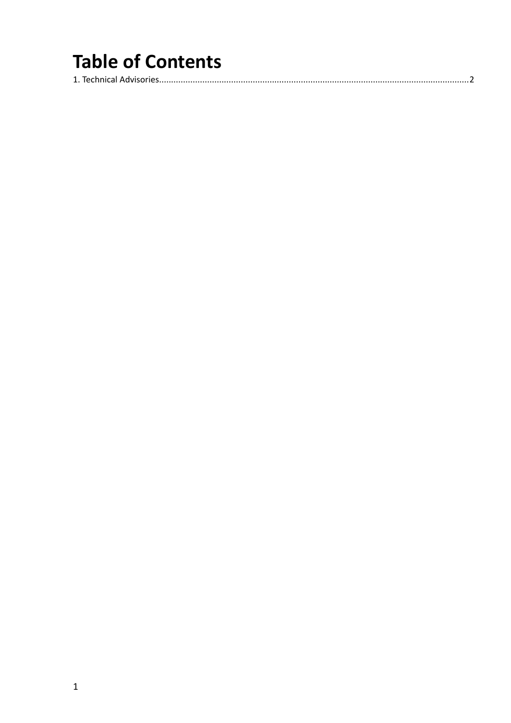## **Table of Contents**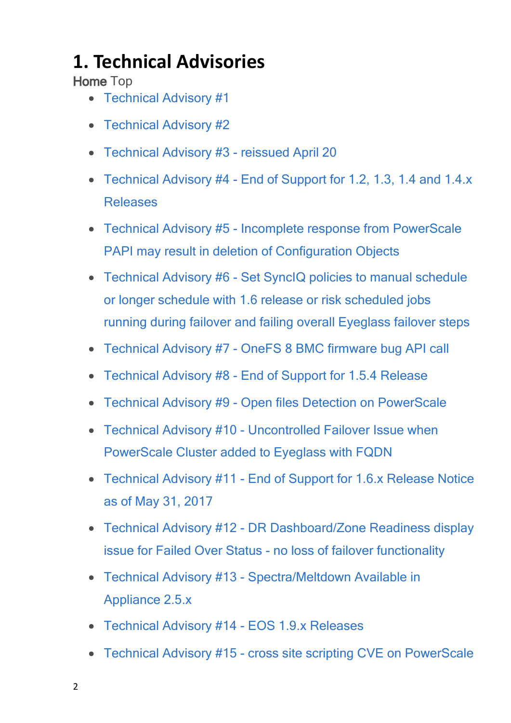## <span id="page-1-0"></span>**1. Technical Advisories**

**Home** Top

- [Technical](#page-3-0) [Advisory](#page-3-0) [#1](#page-3-0)
- · [Technical](#page-3-1) [Advisory](#page-3-1) [#2](#page-3-1)
- · [Technical](#page-4-0) [Advisory](#page-4-0) [#3](#page-4-0) [-](#page-4-0) [reissued](#page-4-0) [April](#page-4-0) [20](#page-4-0)
- [Technical](#page-4-1) [Advisory](#page-4-1) [#4](#page-4-1) [-](#page-4-1) [End](#page-4-1) [of](#page-4-1) [Support](#page-4-1) [for](#page-4-1) [1.2,](#page-4-1) [1.3,](#page-4-1) [1.4](#page-4-1) [and](#page-4-1) [1.4.x](#page-4-1) [Releases](#page-4-1)
- · [Technical](#page-5-0) [Advisory](#page-5-0) [#5](#page-5-0) [-](#page-5-0) [Incomplete](#page-5-0) [response](#page-5-0) [from](#page-5-0) [PowerScale](#page-5-0) [PAPI](#page-5-0) [may](#page-5-0) [result](#page-5-0) [in](#page-5-0) [deletion](#page-5-0) [of](#page-5-0) [Configuration](#page-5-0) [Objects](#page-5-0)
- · [Technical](#page-6-0) [Advisory](#page-6-0) [#6](#page-6-0) [-](#page-6-0) [Set](#page-6-0) [SyncIQ](#page-6-0) [policies](#page-6-0) [to](#page-6-0) [manual](#page-6-0) [schedule](#page-6-0) [or](#page-6-0) [longer](#page-6-0) [schedule](#page-6-0) [with](#page-6-0) [1.6](#page-6-0) [release](#page-6-0) [or](#page-6-0) [risk](#page-6-0) [scheduled](#page-6-0) [jobs](#page-6-0) [running](#page-6-0) [during](#page-6-0) [failover](#page-6-0) [and](#page-6-0) [failing](#page-6-0) [overall](#page-6-0) [Eyeglass](#page-6-0) [failover](#page-6-0) [steps](#page-6-0)
- · [Technical](#page-7-0) [Advisory](#page-7-0) [#7](#page-7-0) [-](#page-7-0) [OneFS](#page-7-0) [8](#page-7-0) [BMC](#page-7-0) [firmware](#page-7-0) [bug](#page-7-0) [API](#page-7-0) [call](#page-7-0)
- · [Technical](#page-7-1) [Advisory](#page-7-1) [#8](#page-7-1) [-](#page-7-1) [End](#page-7-1) [of](#page-7-1) [Support](#page-7-1) [for](#page-7-1) [1.5.4](#page-7-1) [Release](#page-7-1)
- · [Technical](#page-8-0) [Advisory](#page-8-0) [#9](#page-8-0) [-](#page-8-0) [Open](#page-8-0) [files](#page-8-0) [Detection](#page-8-0) [on](#page-8-0) [PowerScale](#page-8-0)
- · [Technical](#page-8-1) [Advisory](#page-8-1) [#10](#page-8-1) [-](#page-8-1) [Uncontrolled](#page-8-1) [Failover](#page-8-1) [Issue](#page-8-1) [when](#page-8-1) [PowerScale](#page-8-1) [Cluster](#page-8-1) [added](#page-8-1) [to](#page-8-1) [Eyeglass](#page-8-1) [with](#page-8-1) [FQDN](#page-8-1)
- · [Technical](#page-10-0) [Advisory](#page-10-0) [#11](#page-10-0) [-](#page-10-0) [End](#page-10-0) [of](#page-10-0) [Support](#page-10-0) [for](#page-10-0) [1.6.x](#page-10-0) [Release](#page-10-0) [Notice](#page-10-0) [as](#page-10-0) [of](#page-10-0) [May](#page-10-0) [31,](#page-10-0) [2017](#page-10-0)
- · [Technical](#page-10-1) [Advisory](#page-10-1) [#12](#page-10-1) [-](#page-10-1) [DR](#page-10-1) [Dashboard/Zone](#page-10-1) [Readiness](#page-10-1) [display](#page-10-1) [issue](#page-10-1) [for](#page-10-1) [Failed](#page-10-1) [Over](#page-10-1) [Status](#page-10-1) [-](#page-10-1) [no](#page-10-1) [loss](#page-10-1) [of](#page-10-1) [failover](#page-10-1) [functionality](#page-10-1)
- · [Technical](#page-11-0) [Advisory](#page-11-0) [#13](#page-11-0) [-](#page-11-0) [Spectra/Meltdown](#page-11-0) [Available](#page-11-0) [in](#page-11-0) [Appliance](#page-11-0) [2.5.x](#page-11-0)
- · [Technical](#page-12-0) [Advisory](#page-12-0) [#14](#page-12-0) [-](#page-12-0) [EOS](#page-12-0) [1.9.x](#page-12-0) [Releases](#page-12-0)
- · [Technical](#page-12-1) [Advisory](#page-12-1) [#15](#page-12-1)  [cross](#page-12-1) [site](#page-12-1) [scripting](#page-12-1) [CVE](#page-12-1) [on](#page-12-1) [PowerScale](#page-12-1)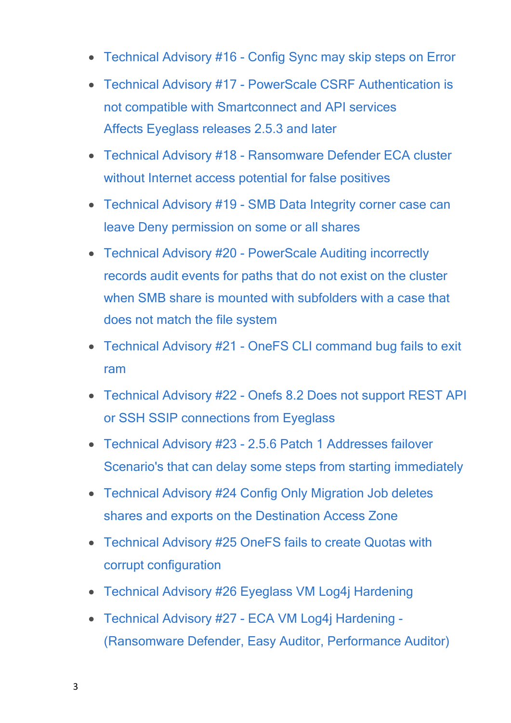- [Technical](#page-13-0) [Advisory](#page-13-0) [#16](#page-13-0) [-](#page-13-0) [Config](#page-13-0) [Sync](#page-13-0) [may](#page-13-0) [skip](#page-13-0) [steps](#page-13-0) [on](#page-13-0) [Error](#page-13-0)
- · [Technical](#page-13-1) [Advisory](#page-13-1) [#17](#page-13-1) [-](#page-13-1) [PowerScale](#page-13-1) [CSRF](#page-13-1) [Authentication](#page-13-1) [is](#page-13-1) [not](#page-13-1) [compatible](#page-13-1) [with](#page-13-1) [Smartconnect](#page-13-1) [and](#page-13-1) [API](#page-13-1) [services](#page-13-1) [Affects Eyeglass](#page-13-1) [releases](#page-13-1) [2.5.3](#page-13-1) [and](#page-13-1) [later](#page-13-1)
- · [Technical](#page-14-0) [Advisory](#page-14-0) [#18](#page-14-0) [-](#page-14-0) [Ransomware](#page-14-0) [Defender](#page-14-0) [ECA](#page-14-0) [cluster](#page-14-0) [without](#page-14-0) [Internet](#page-14-0) [access](#page-14-0) [potential](#page-14-0) [for](#page-14-0) [false](#page-14-0) [positives](#page-14-0)
- · [Technical](#page-15-0) [Advisory](#page-15-0) [#19](#page-15-0) [-](#page-15-0) [SMB](#page-15-0) [Data](#page-15-0) [Integrity](#page-15-0) [corner](#page-15-0) [case](#page-15-0) [can](#page-15-0) [leave](#page-15-0) [Deny](#page-15-0) [permission](#page-15-0) [on](#page-15-0) [some](#page-15-0) [or](#page-15-0) [all](#page-15-0) [shares](#page-15-0)
- · [Technical](#page-16-0) [Advisory](#page-16-0) [#20](#page-16-0) [-](#page-16-0) [PowerScale](#page-16-0) [Auditing](#page-16-0) [incorrectly](#page-16-0) [records](#page-16-0) [audit](#page-16-0) [events](#page-16-0) [for](#page-16-0) [paths](#page-16-0) [that](#page-16-0) [do](#page-16-0) [not](#page-16-0) [exist](#page-16-0) [on](#page-16-0) [the](#page-16-0) [cluster](#page-16-0) [when](#page-16-0) [SMB](#page-16-0) [share](#page-16-0) [is](#page-16-0) [mounted](#page-16-0) [with](#page-16-0) [subfolders](#page-16-0) [with](#page-16-0) [a](#page-16-0) [case](#page-16-0) [that](#page-16-0) [does](#page-16-0) [not](#page-16-0) [match](#page-16-0) [the](#page-16-0) [file](#page-16-0) [system](#page-16-0)
- · [Technical](#page-17-0) [Advisory](#page-17-0) [#21](#page-17-0)  [OneFS](#page-17-0) [CLI](#page-17-0) [command](#page-17-0) [bug](#page-17-0) [fails](#page-17-0) [to](#page-17-0) [exit](#page-17-0) [ram](#page-17-0)
- · [Technical](#page-18-0) [Advisory](#page-18-0) [#22](#page-18-0) [-](#page-18-0) [Onefs](#page-18-0) [8.2](#page-18-0) [Does](#page-18-0) [not](#page-18-0) [support](#page-18-0) [REST](#page-18-0) [API](#page-18-0) [or](#page-18-0) [SSH](#page-18-0) [SSIP](#page-18-0) [connections](#page-18-0) [from](#page-18-0) [Eyeglass](#page-18-0)
- · [Technical](#page-19-0) [Advisory](#page-19-0) [#23](#page-19-0) [-](#page-19-0) [2.5.6](#page-19-0) [Patch](#page-19-0) [1](#page-19-0) [Addresses](#page-19-0) [failover](#page-19-0) [Scenario's](#page-19-0) [that](#page-19-0) [can](#page-19-0) [delay](#page-19-0) [some](#page-19-0) [steps](#page-19-0) [from](#page-19-0) [starting](#page-19-0) [immediately](#page-19-0)
- · [Technical](#page-20-0) [Advisory](#page-20-0) [#24](#page-20-0) [Config](#page-20-0) [Only](#page-20-0) [Migration](#page-20-0) [Job](#page-20-0) [deletes](#page-20-0) [shares](#page-20-0) [and](#page-20-0) [exports](#page-20-0) [on](#page-20-0) [the](#page-20-0) [Destination](#page-20-0) [Access](#page-20-0) [Zone](#page-20-0)
- · [Technical](#page-20-1) [Advisory](#page-20-1) [#25](#page-20-1) [OneFS](#page-20-1) [fails](#page-20-1) [to](#page-20-1) [create](#page-20-1) [Quotas](#page-20-1) [with](#page-20-1) [corrupt](#page-20-1) [configuration](#page-20-1)
- · [Technical](#page-21-0) [Advisory](#page-21-0) [#26](#page-21-0) [Eyeglass](#page-21-0) [VM](#page-21-0) [Log4j](#page-21-0) [Hardening](#page-21-0)
- · [Technical](#page-23-0) [Advisory](#page-23-0) [#27](#page-23-0) [-](#page-23-0) [ECA](#page-23-0) [VM](#page-23-0) [Log4j](#page-23-0) [Hardening](#page-23-0) [-](#page-23-0) [\(Ransomware](#page-23-0) [Defender,](#page-23-0) [Easy](#page-23-0) [Auditor,](#page-23-0) [Performance](#page-23-0) [Auditor\)](#page-23-0)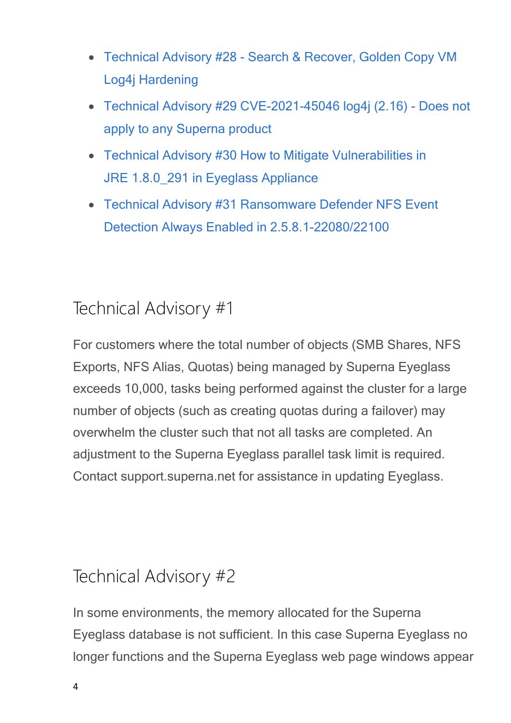- · [Technical](#page-28-0) [Advisory](#page-28-0) [#28](#page-28-0) [-](#page-28-0) [Search](#page-28-0) [&](#page-28-0) [Recover,](#page-28-0) [Golden](#page-28-0) [Copy](#page-28-0) [VM](#page-28-0) [Log4j](#page-28-0) [Hardening](#page-28-0)
- · [Technical](#page-32-0) [Advisory](#page-32-0) [#29](#page-32-0) [CVE-2021-45046](#page-32-0) [log4j](#page-32-0) [\(2.16\)](#page-32-0) [-](#page-32-0) [Does](#page-32-0) [not](#page-32-0) [apply](#page-32-0) [to](#page-32-0) [any](#page-32-0) [Superna](#page-32-0) [product](#page-32-0)
- · [Technical](#page-34-0) [Advisory](#page-34-0) [#30](#page-34-0) [How](#page-34-0) [to](#page-34-0) [Mitigate](#page-34-0) [Vulnerabilities](#page-34-0) [in](#page-34-0) JRE 1.8.0 291 [in](#page-34-0) [Eyeglass](#page-34-0) [Appliance](#page-34-0)
- · [Technical](#page-35-0) [Advisory](#page-35-0) [#31](#page-35-0) [Ransomware](#page-35-0) [Defender](#page-35-0) [NFS](#page-35-0) [Event](#page-35-0) [Detection](#page-35-0) [Always](#page-35-0) [Enabled](#page-35-0) [in](#page-35-0) [2.5.8.1-22080/22100](#page-35-0)

## <span id="page-3-0"></span>Technical Advisory #1

For customers where the total number of objects (SMB Shares, NFS Exports, NFS Alias, Quotas) being managed by Superna Eyeglass exceeds 10,000, tasks being performed against the cluster for a large number of objects (such as creating quotas during a failover) may overwhelm the cluster such that not all tasks are completed. An adjustment to the Superna Eyeglass parallel task limit is required. Contact support.superna.net for assistance in updating Eyeglass.

### <span id="page-3-1"></span>Technical Advisory #2

In some environments, the memory allocated for the Superna Eyeglass database is not sufficient. In this case Superna Eyeglass no longer functions and the Superna Eyeglass web page windows appear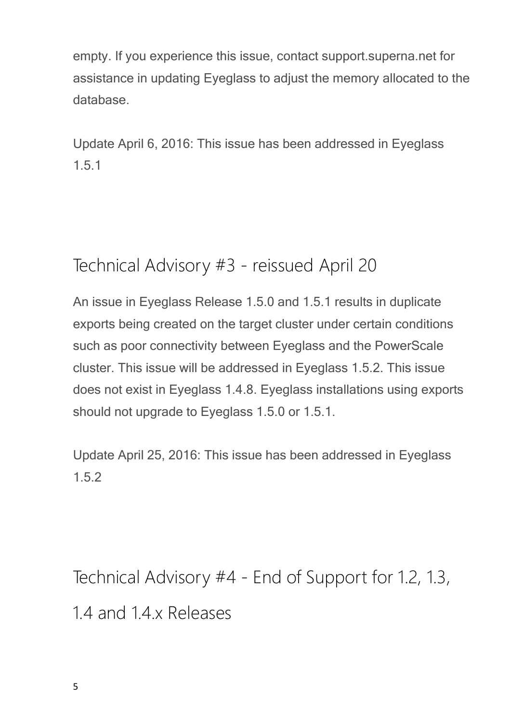empty. If you experience this issue, contact support.superna.net for assistance in updating Eyeglass to adjust the memory allocated to the database.

Update April 6, 2016: This issue has been addressed in Eyeglass 1.5.1

## <span id="page-4-0"></span>Technical Advisory #3 - reissued April 20

An issue in Eyeglass Release 1.5.0 and 1.5.1 results in duplicate exports being created on the target cluster under certain conditions such as poor connectivity between Eyeglass and the PowerScale cluster. This issue will be addressed in Eyeglass 1.5.2. This issue does not exist in Eyeglass 1.4.8. Eyeglass installations using exports should not upgrade to Eyeglass 1.5.0 or 1.5.1.

Update April 25, 2016: This issue has been addressed in Eyeglass 1.5.2

<span id="page-4-1"></span>Technical Advisory #4 - End of Support for 1.2, 1.3, 1.4 and 1.4.x Releases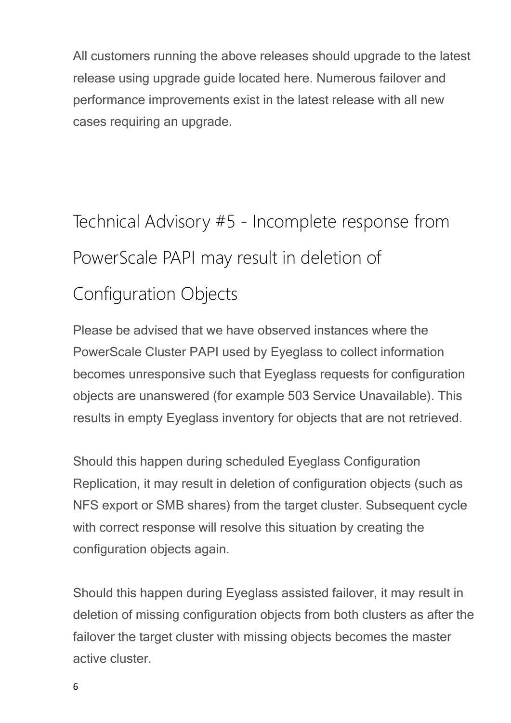All customers running the above releases should upgrade to the latest release using upgrade guide located here. Numerous failover and performance improvements exist in the latest release with all new cases requiring an upgrade.

<span id="page-5-0"></span>Technical Advisory #5 - Incomplete response from PowerScale PAPI may result in deletion of Configuration Objects

Please be advised that we have observed instances where the PowerScale Cluster PAPI used by Eyeglass to collect information becomes unresponsive such that Eyeglass requests for configuration objects are unanswered (for example 503 Service Unavailable). This results in empty Eyeglass inventory for objects that are not retrieved.

Should this happen during scheduled Eyeglass Configuration Replication, it may result in deletion of configuration objects (such as NFS export or SMB shares) from the target cluster. Subsequent cycle with correct response will resolve this situation by creating the configuration objects again.

Should this happen during Eyeglass assisted failover, it may result in deletion of missing configuration objects from both clusters as after the failover the target cluster with missing objects becomes the master active cluster.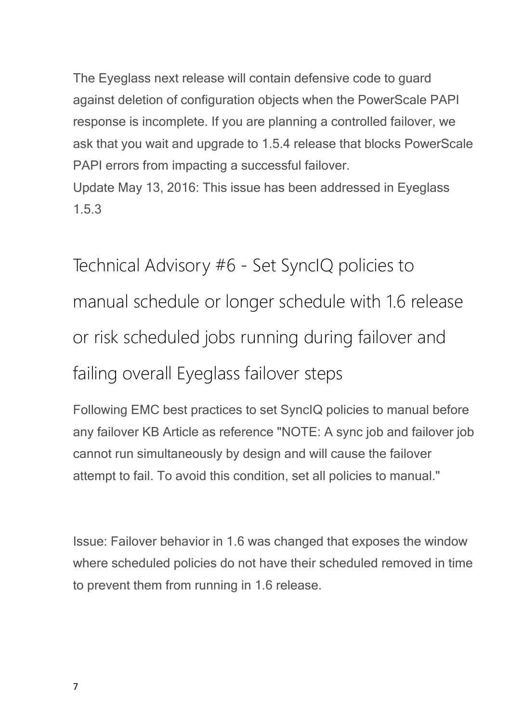The Eyeglass next release will contain defensive code to guard against deletion of configuration objects when the PowerScale PAPI response is incomplete. If you are planning a controlled failover, we ask that you wait and upgrade to 1.5.4 release that blocks PowerScale PAPI errors from impacting a successful failover. Update May 13, 2016: This issue has been addressed in Eyeglass

1.5.3

<span id="page-6-0"></span>Technical Advisory #6 - Set SyncIQ policies to manual schedule or longer schedule with 1.6 release or risk scheduled jobs running during failover and failing overall Eyeglass failover steps

Following EMC best practices to set SyncIQ policies to manual before any failover KB Article as reference "NOTE: A sync job and failover job cannot run simultaneously by design and will cause the failover attempt to fail. To avoid this condition, set all policies to manual."

Issue: Failover behavior in 1.6 was changed that exposes the window where scheduled policies do not have their scheduled removed in time to prevent them from running in 1.6 release.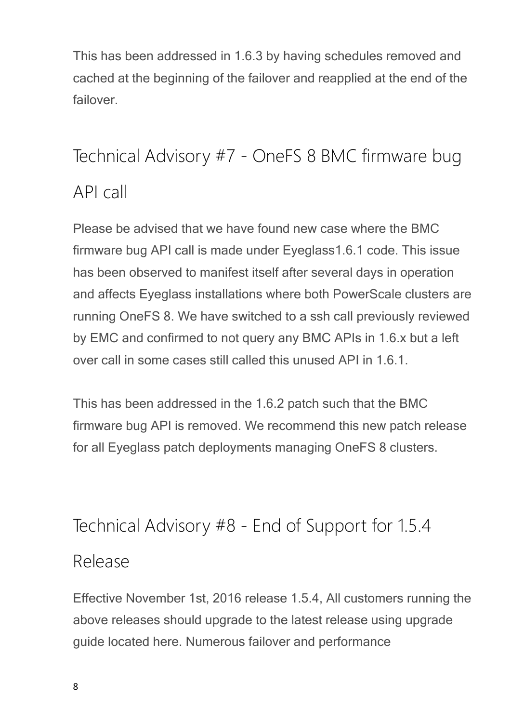This has been addressed in 1.6.3 by having schedules removed and cached at the beginning of the failover and reapplied at the end of the failover.

## <span id="page-7-0"></span>Technical Advisory #7 - OneFS 8 BMC firmware bug API call

Please be advised that we have found new case where the BMC firmware bug API call is made under Eyeglass1.6.1 code. This issue has been observed to manifest itself after several days in operation and affects Eyeglass installations where both PowerScale clusters are running OneFS 8. We have switched to a ssh call previously reviewed by EMC and confirmed to not query any BMC APIs in 1.6.x but a left over call in some cases still called this unused API in 1.6.1.

This has been addressed in the 1.6.2 patch such that the BMC firmware bug API is removed. We recommend this new patch release for all Eyeglass patch deployments managing OneFS 8 clusters.

### <span id="page-7-1"></span>Technical Advisory #8 - End of Support for 1.5.4

### Release

Effective November 1st, 2016 release 1.5.4, All customers running the above releases should upgrade to the latest release using upgrade guide located here. Numerous failover and performance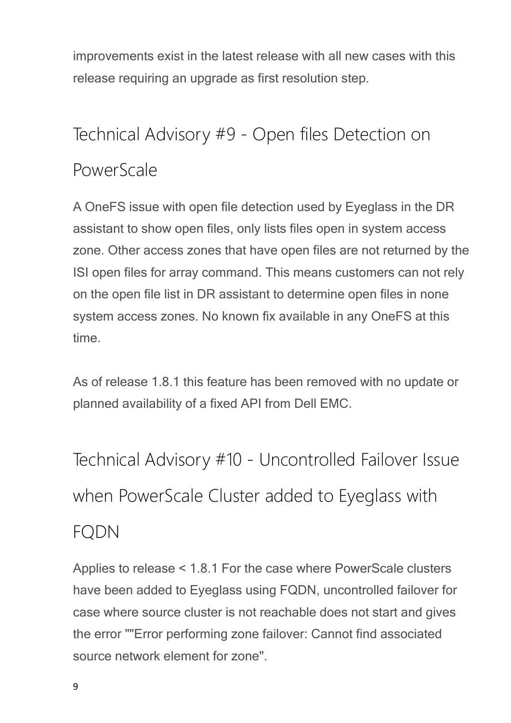improvements exist in the latest release with all new cases with this release requiring an upgrade as first resolution step.

# <span id="page-8-0"></span>Technical Advisory #9 - Open files Detection on PowerScale

A OneFS issue with open file detection used by Eyeglass in the DR assistant to show open files, only lists files open in system access zone. Other access zones that have open files are not returned by the ISI open files for array command. This means customers can not rely on the open file list in DR assistant to determine open files in none system access zones. No known fix available in any OneFS at this time.

As of release 1.8.1 this feature has been removed with no update or planned availability of a fixed API from Dell EMC.

<span id="page-8-1"></span>Technical Advisory #10 - Uncontrolled Failover Issue when PowerScale Cluster added to Eyeglass with

## FQDN

Applies to release < 1.8.1 For the case where PowerScale clusters have been added to Eyeglass using FQDN, uncontrolled failover for case where source cluster is not reachable does not start and gives the error ""Error performing zone failover: Cannot find associated source network element for zone".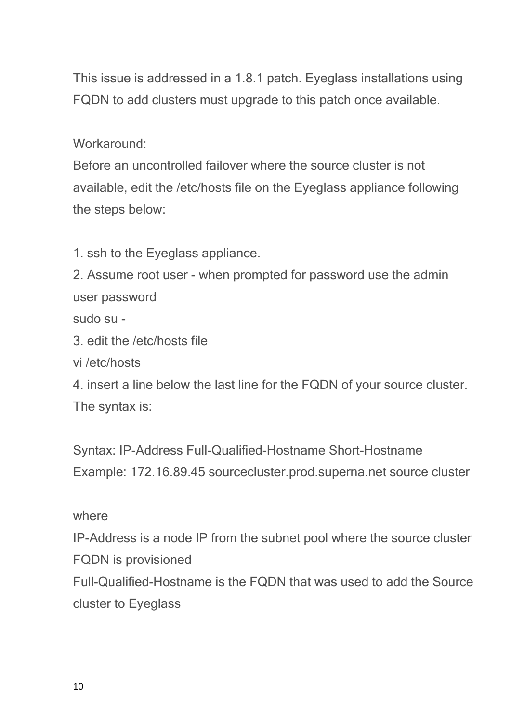This issue is addressed in a 1.8.1 patch. Eyeglass installations using FQDN to add clusters must upgrade to this patch once available.

Workaround:

Before an uncontrolled failover where the source cluster is not available, edit the /etc/hosts file on the Eyeglass appliance following the steps below:

1. ssh to the Eyeglass appliance.

2. Assume root user - when prompted for password use the admin user password

sudo su -

3. edit the /etc/hosts file

vi /etc/hosts

4. insert a line below the last line for the FQDN of your source cluster. The syntax is:

Syntax: IP-Address Full-Qualified-Hostname Short-Hostname Example: 172.16.89.45 sourcecluster.prod.superna.net source cluster

### where

IP-Address is a node IP from the subnet pool where the source cluster FQDN is provisioned

Full-Qualified-Hostname is the FQDN that was used to add the Source cluster to Eyeglass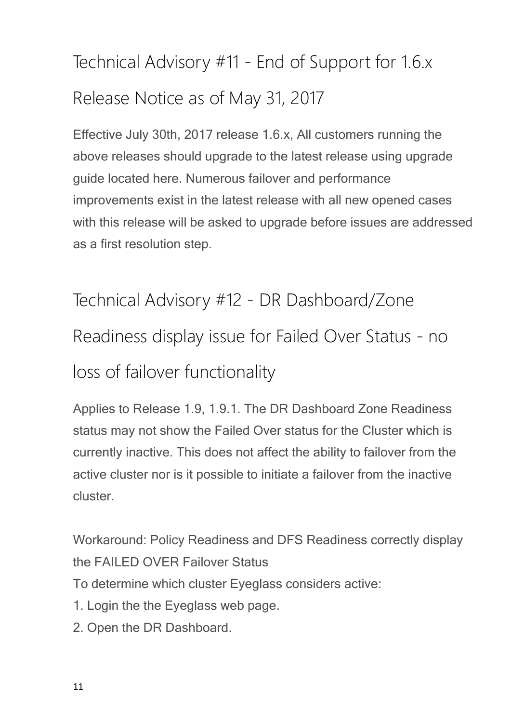# <span id="page-10-0"></span>Technical Advisory #11 - End of Support for 1.6.x Release Notice as of May 31, 2017

Effective July 30th, 2017 release 1.6.x, All customers running the above releases should upgrade to the latest release using upgrade guide located here. Numerous failover and performance improvements exist in the latest release with all new opened cases with this release will be asked to upgrade before issues are addressed as a first resolution step.

# <span id="page-10-1"></span>Technical Advisory #12 - DR Dashboard/Zone Readiness display issue for Failed Over Status - no loss of failover functionality

Applies to Release 1.9, 1.9.1. The DR Dashboard Zone Readiness status may not show the Failed Over status for the Cluster which is currently inactive. This does not affect the ability to failover from the active cluster nor is it possible to initiate a failover from the inactive cluster.

Workaround: Policy Readiness and DFS Readiness correctly display the FAILED OVER Failover Status

To determine which cluster Eyeglass considers active:

- 1. Login the the Eyeglass web page.
- 2. Open the DR Dashboard.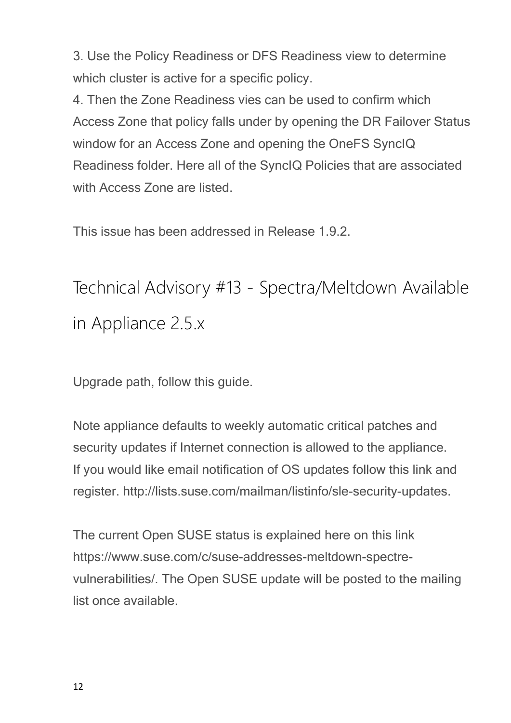3. Use the Policy Readiness or DFS Readiness view to determine which cluster is active for a specific policy.

4. Then the Zone Readiness vies can be used to confirm which Access Zone that policy falls under by opening the DR Failover Status window for an Access Zone and opening the OneFS SyncIQ Readiness folder. Here all of the SyncIQ Policies that are associated with Access Zone are listed.

This issue has been addressed in Release 1.9.2.

<span id="page-11-0"></span>Technical Advisory #13 - Spectra/Meltdown Available in Appliance 2.5.x

Upgrade path, follow this guide.

Note appliance defaults to weekly automatic critical patches and security updates if Internet connection is allowed to the appliance. If you would like email notification of OS updates follow this link and register. http://lists.suse.com/mailman/listinfo/sle-security-updates.

The current Open SUSE status is explained here on this link https://www.suse.com/c/suse-addresses-meltdown-spectrevulnerabilities/. The Open SUSE update will be posted to the mailing list once available.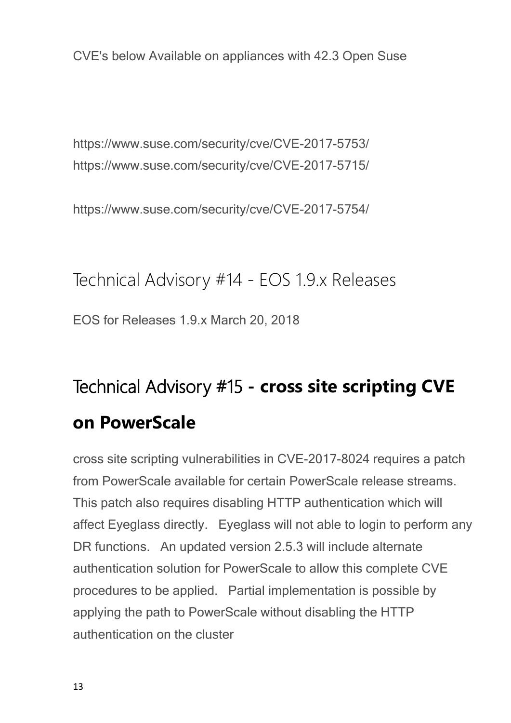CVE's below Available on appliances with 42.3 Open Suse

https://www.suse.com/security/cve/CVE-2017-5753/ https://www.suse.com/security/cve/CVE-2017-5715/

https://www.suse.com/security/cve/CVE-2017-5754/

<span id="page-12-0"></span>Technical Advisory #14 - EOS 1.9.x Releases EOS for Releases 1.9.x March 20, 2018

# <span id="page-12-1"></span>**Technical Advisory #15 - cross site scripting CVE on PowerScale**

cross site scripting vulnerabilities in CVE-2017-8024 requires a patch from PowerScale available for certain PowerScale release streams. This patch also requires disabling HTTP authentication which will affect Eyeglass directly. Eyeglass will not able to login to perform any DR functions. An updated version 2.5.3 will include alternate authentication solution for PowerScale to allow this complete CVE procedures to be applied. Partial implementation is possible by applying the path to PowerScale without disabling the HTTP authentication on the cluster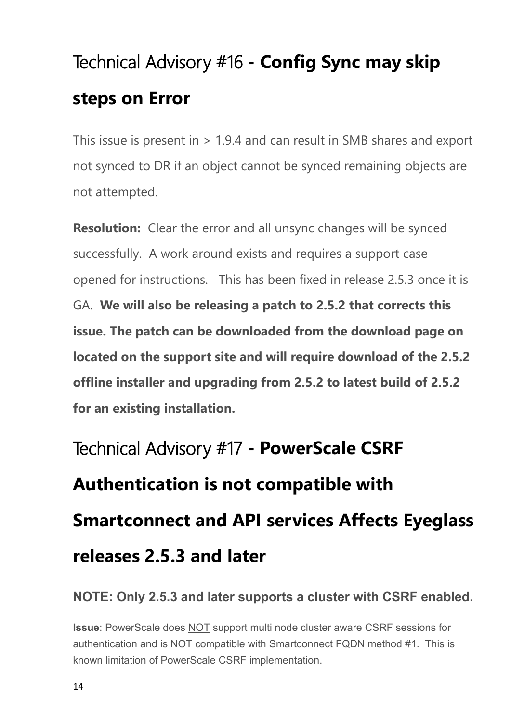# <span id="page-13-0"></span>**Technical Advisory #16 - Config Sync may skip steps on Error**

This issue is present in > 1.9.4 and can result in SMB shares and export not synced to DR if an object cannot be synced remaining objects are not attempted.

**Resolution:** Clear the error and all unsync changes will be synced successfully. A work around exists and requires a support case opened for instructions. This has been fixed in release 2.5.3 once it is GA. **We will also be releasing a patch to 2.5.2 that corrects this issue. The patch can be downloaded from the download page on located on the support site and will require download of the 2.5.2 offline installer and upgrading from 2.5.2 to latest build of 2.5.2 for an existing installation.**

# <span id="page-13-1"></span>**Technical Advisory #17 - PowerScale CSRF Authentication is not compatible with Smartconnect and API services Affects Eyeglass releases 2.5.3 and later**

### **NOTE: Only 2.5.3 and later supports a cluster with CSRF enabled.**

**Issue**: PowerScale does NOT support multi node cluster aware CSRF sessions for authentication and is NOT compatible with Smartconnect FQDN method #1. This is known limitation of PowerScale CSRF implementation.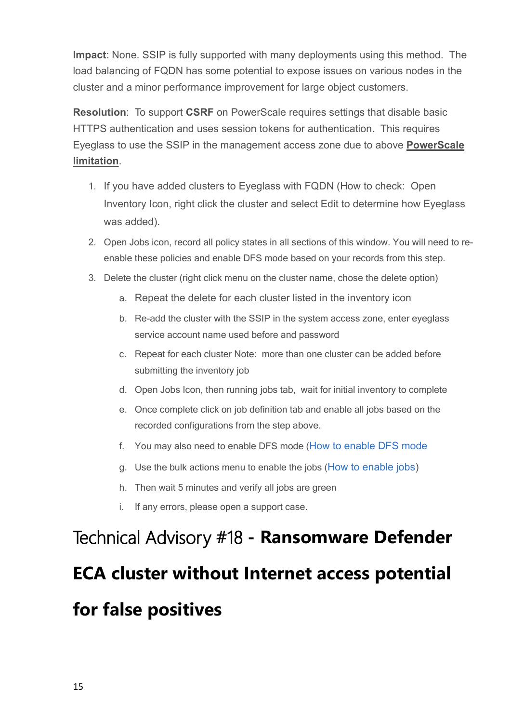**Impact**: None. SSIP is fully supported with many deployments using this method. The load balancing of FQDN has some potential to expose issues on various nodes in the cluster and a minor performance improvement for large object customers.

**Resolution**: To support **CSRF** on PowerScale requires settings that disable basic HTTPS authentication and uses session tokens for authentication. This requires Eyeglass to use the SSIP in the management access zone due to above **PowerScale limitation**.

- 1. If you have added clusters to Eyeglass with FQDN (How to check: Open Inventory Icon, right click the cluster and select Edit to determine how Eyeglass was added).
- 2. Open Jobs icon, record all policy states in all sections of this window. You will need to reenable these policies and enable DFS mode based on your records from this step.
- 3. Delete the cluster (right click menu on the cluster name, chose the delete option)
	- a. Repeat the delete for each cluster listed in the inventory icon
	- b. Re-add the cluster with the SSIP in the system access zone, enter eyeglass service account name used before and password
	- c. Repeat for each cluster Note: more than one cluster can be added before submitting the inventory job
	- d. Open Jobs Icon, then running jobs tab, wait for initial inventory to complete
	- e. Once complete click on job definition tab and enable all jobs based on the recorded configurations from the step above.
	- f. You may also need to enable DFS mode ([How](http://docedit.supernaeyeglass.com/smart/project-eyeglass-configuration-guides/eyeglass-microsoft-dfs-mode-admin-guide) [to](http://docedit.supernaeyeglass.com/smart/project-eyeglass-configuration-guides/eyeglass-microsoft-dfs-mode-admin-guide) [enable](http://docedit.supernaeyeglass.com/smart/project-eyeglass-configuration-guides/eyeglass-microsoft-dfs-mode-admin-guide) [DFS](http://docedit.supernaeyeglass.com/smart/project-eyeglass-configuration-guides/eyeglass-microsoft-dfs-mode-admin-guide) [mode](http://docedit.supernaeyeglass.com/smart/project-eyeglass-configuration-guides/eyeglass-microsoft-dfs-mode-admin-guide)
	- g. Use the bulk actions menu to enable the jobs ([How](https://support.superna.net/hc/en-us/articles/360000291346-Enable-a-User-disabled-Job) [to](https://support.superna.net/hc/en-us/articles/360000291346-Enable-a-User-disabled-Job) [enable](https://support.superna.net/hc/en-us/articles/360000291346-Enable-a-User-disabled-Job) [jobs](https://support.superna.net/hc/en-us/articles/360000291346-Enable-a-User-disabled-Job))
	- h. Then wait 5 minutes and verify all jobs are green
	- i. If any errors, please open a support case.

# <span id="page-14-0"></span>**Technical Advisory #18 - Ransomware Defender ECA cluster without Internet access potential for false positives**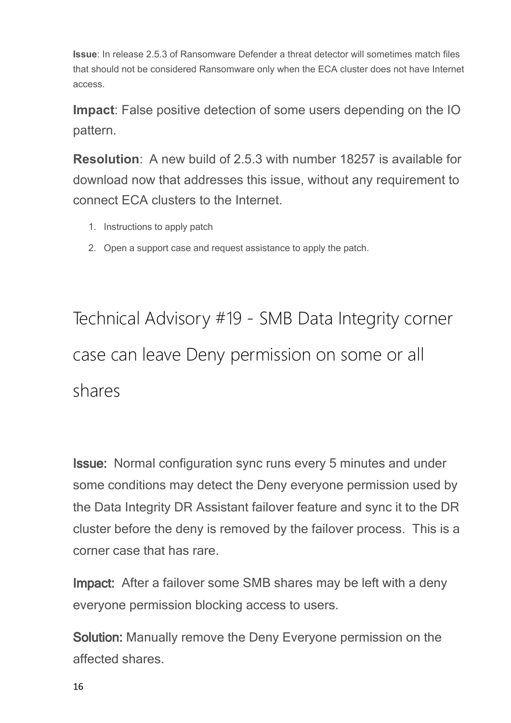**Issue**: In release 2.5.3 of Ransomware Defender a threat detector will sometimes match files that should not be considered Ransomware only when the ECA cluster does not have Internet access.

**Impact**: False positive detection of some users depending on the IO pattern.

**Resolution**: A new build of 2.5.3 with number 18257 is available for download now that addresses this issue, without any requirement to connect ECA clusters to the Internet.

- 1. Instructions to apply patch
- 2. Open a support case and request assistance to apply the patch.

<span id="page-15-0"></span>Technical Advisory #19 - SMB Data Integrity corner case can leave Deny permission on some or all shares

**Issue:**  Normal configuration sync runs every 5 minutes and under some conditions may detect the Deny everyone permission used by the Data Integrity DR Assistant failover feature and sync it to the DR cluster before the deny is removed by the failover process. This is a corner case that has rare.

**Impact:** After a failover some SMB shares may be left with a deny everyone permission blocking access to users.

**Solution:** Manually remove the Deny Everyone permission on the affected shares.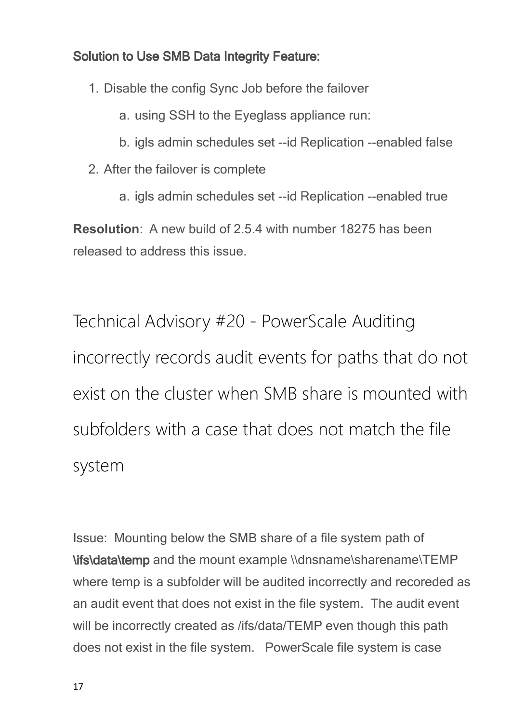### **Solution to Use SMB Data Integrity Feature:**

- 1. Disable the config Sync Job before the failover
	- a. using SSH to the Eyeglass appliance run:
	- b. igls admin schedules set --id Replication --enabled false
- 2. After the failover is complete
	- a. igls admin schedules set --id Replication --enabled true

**Resolution**: A new build of 2.5.4 with number 18275 has been released to address this issue.

<span id="page-16-0"></span>Technical Advisory #20 - PowerScale Auditing incorrectly records audit events for paths that do not exist on the cluster when SMB share is mounted with subfolders with a case that does not match the file system

Issue: Mounting below the SMB share of a file system path of **\ifs\data\temp** and the mount example \\dnsname\sharename\TEMP where temp is a subfolder will be audited incorrectly and recoreded as an audit event that does not exist in the file system. The audit event will be incorrectly created as /ifs/data/TEMP even though this path does not exist in the file system. PowerScale file system is case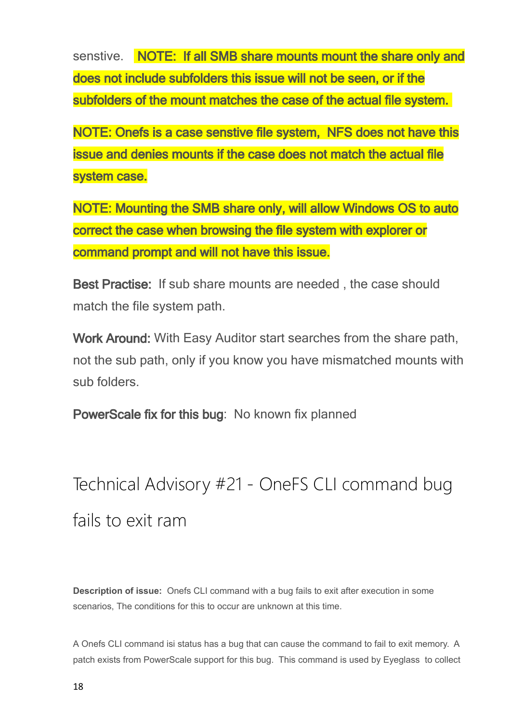senstive. **NOTE: If all SMB share mounts mount the share only and does not include subfolders this issue will not be seen, or if the subfolders of the mount matches the case of the actual file system.** 

**NOTE: Onefs is a case senstive file system, NFS does not have this issue and denies mounts if the case does not match the actual file system case.**

**NOTE: Mounting the SMB share only, will allow Windows OS to auto correct the case when browsing the file system with explorer or command prompt and will not have this issue.**

**Best Practise:** If sub share mounts are needed , the case should match the file system path.

**Work Around:** With Easy Auditor start searches from the share path, not the sub path, only if you know you have mismatched mounts with sub folders.

**PowerScale fix for this bug**: No known fix planned

## <span id="page-17-0"></span>Technical Advisory #21 - OneFS CLI command bug fails to exit ram

**Description of issue:** Onefs CLI command with a bug fails to exit after execution in some scenarios, The conditions for this to occur are unknown at this time.

A Onefs CLI command isi status has a bug that can cause the command to fail to exit memory. A patch exists from PowerScale support for this bug. This command is used by Eyeglass to collect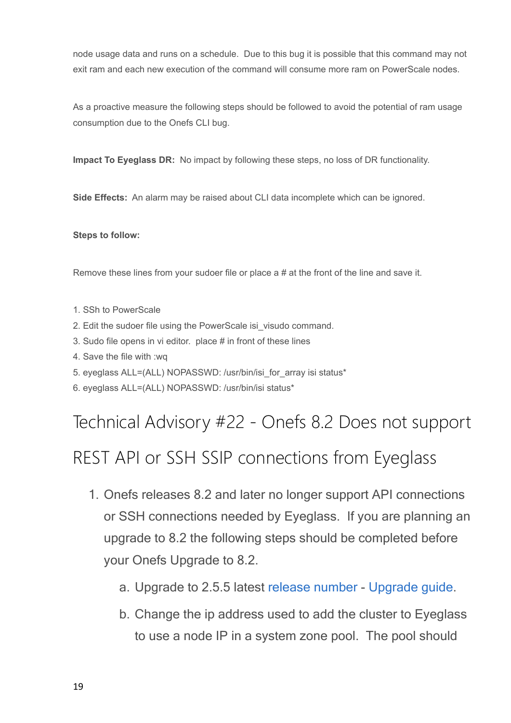node usage data and runs on a schedule. Due to this bug it is possible that this command may not exit ram and each new execution of the command will consume more ram on PowerScale nodes.

As a proactive measure the following steps should be followed to avoid the potential of ram usage consumption due to the Onefs CLI bug.

**Impact To Eyeglass DR:** No impact by following these steps, no loss of DR functionality.

**Side Effects:** An alarm may be raised about CLI data incomplete which can be ignored.

#### **Steps to follow:**

Remove these lines from your sudoer file or place  $a \# a$  at the front of the line and save it.

- 1. SSh to PowerScale
- 2. Edit the sudoer file using the PowerScale isi\_visudo command.
- 3. Sudo file opens in vi editor. place # in front of these lines
- 4. Save the file with :wq
- 5. eyeglass ALL=(ALL) NOPASSWD: /usr/bin/isi\_for\_array isi status\*
- 6. eyeglass ALL=(ALL) NOPASSWD: /usr/bin/isi status\*

### <span id="page-18-0"></span>Technical Advisory #22 - Onefs 8.2 Does not support

### REST API or SSH SSIP connections from Eyeglass

- 1. Onefs releases 8.2 and later no longer support API connections or SSH connections needed by Eyeglass. If you are planning an upgrade to 8.2 the following steps should be completed before your Onefs Upgrade to 8.2.
	- a. Upgrade to 2.5.5 latest [release](http://docedit.supernaeyeglass.com/smart/project-software-releases/software-releases) [number](http://docedit.supernaeyeglass.com/smart/project-software-releases/software-releases) [Upgrade](http://docedit.supernaeyeglass.com/smart/project-all-product-installation-and-upgrade-guides/eyeglass-isilon-edition-upgrade-guide) [guide](http://docedit.supernaeyeglass.com/smart/project-all-product-installation-and-upgrade-guides/eyeglass-isilon-edition-upgrade-guide).
	- b. Change the ip address used to add the cluster to Eyeglass to use a node IP in a system zone pool. The pool should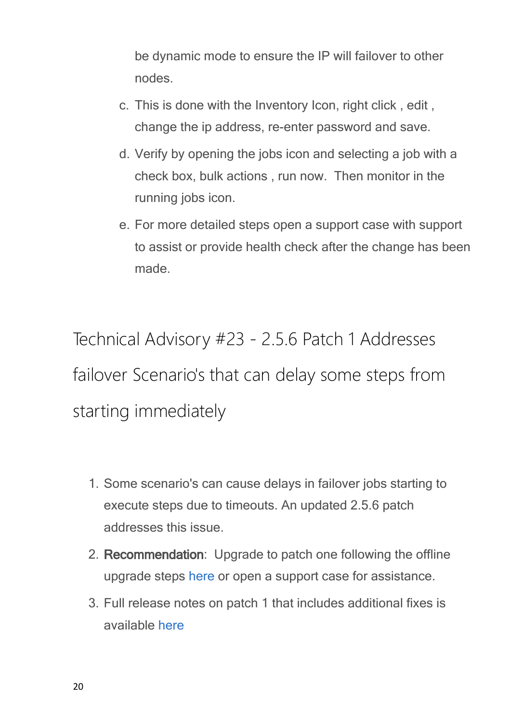be dynamic mode to ensure the IP will failover to other nodes.

- c. This is done with the Inventory Icon, right click , edit , change the ip address, re-enter password and save.
- d. Verify by opening the jobs icon and selecting a job with a check box, bulk actions , run now. Then monitor in the running jobs icon.
- e. For more detailed steps open a support case with support to assist or provide health check after the change has been made.

<span id="page-19-0"></span>Technical Advisory #23 - 2.5.6 Patch 1 Addresses failover Scenario's that can delay some steps from starting immediately

- 1. Some scenario's can cause delays in failover jobs starting to execute steps due to timeouts. An updated 2.5.6 patch addresses this issue.
- 2. **Recommendation**: Upgrade to patch one following the offline upgrade steps [here](http://docedit.supernaeyeglass.com/smart/project-all-product-installation-and-upgrade-guides/eyeglass-isilon-edition-upgrade-guide) or open a support case for assistance.
- 3. Full release notes on patch 1 that includes additional fixes is available [here](http://docedit.supernaeyeglass.com/smart/project-software-releases/current-release-release-notes-dr-edition)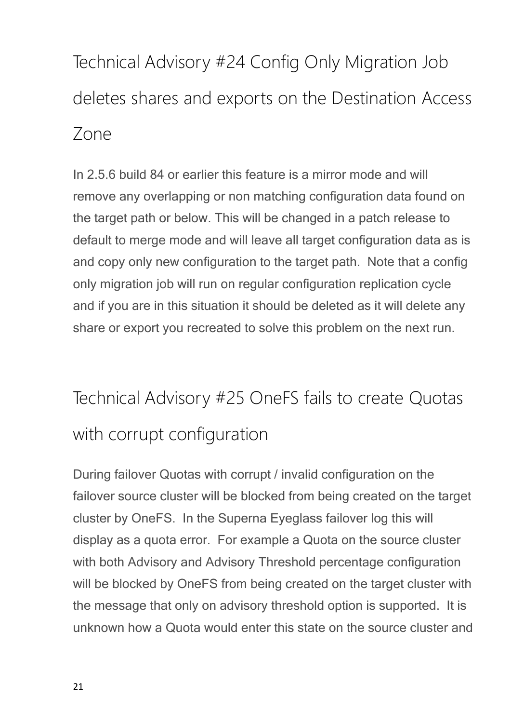<span id="page-20-0"></span>Technical Advisory #24 Config Only Migration Job deletes shares and exports on the Destination Access Zone

In 2.5.6 build 84 or earlier this feature is a mirror mode and will remove any overlapping or non matching configuration data found on the target path or below. This will be changed in a patch release to default to merge mode and will leave all target configuration data as is and copy only new configuration to the target path. Note that a config only migration job will run on regular configuration replication cycle and if you are in this situation it should be deleted as it will delete any share or export you recreated to solve this problem on the next run.

## <span id="page-20-1"></span>Technical Advisory #25 OneFS fails to create Quotas with corrupt configuration

During failover Quotas with corrupt / invalid configuration on the failover source cluster will be blocked from being created on the target cluster by OneFS. In the Superna Eyeglass failover log this will display as a quota error. For example a Quota on the source cluster with both Advisory and Advisory Threshold percentage configuration will be blocked by OneFS from being created on the target cluster with the message that only on advisory threshold option is supported. It is unknown how a Quota would enter this state on the source cluster and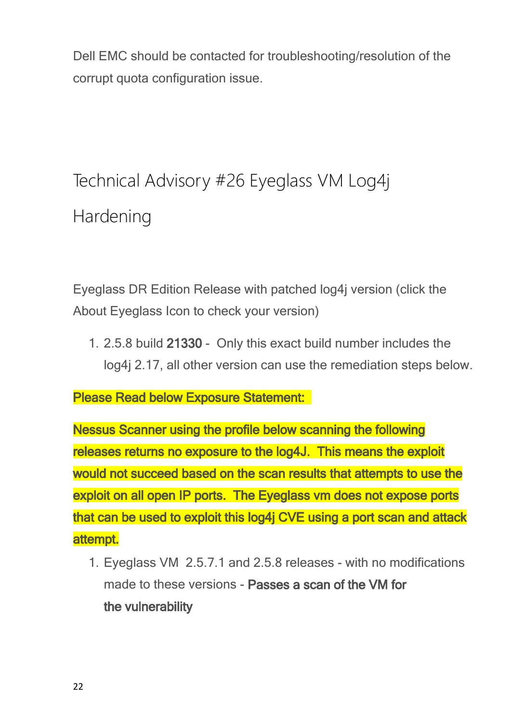Dell EMC should be contacted for troubleshooting/resolution of the corrupt quota configuration issue.

## <span id="page-21-0"></span>Technical Advisory #26 Eyeglass VM Log4j Hardening

Eyeglass DR Edition Release with patched log4j version (click the About Eyeglass Icon to check your version)

1. 2.5.8 build **21330** - Only this exact build number includes the log4j 2.17, all other version can use the remediation steps below.

**Please Read below Exposure Statement:** 

**Nessus Scanner using the profile below scanning the following releases returns no exposure to the log4J. This means the exploit would not succeed based on the scan results that attempts to use the exploit on all open IP ports. The Eyeglass vm does not expose ports that can be used to exploit this log4j CVE using a port scan and attack attempt.**

1. Eyeglass VM 2.5.7.1 and 2.5.8 releases - with no modifications made to these versions - **Passes a scan of the VM for the vulnerability**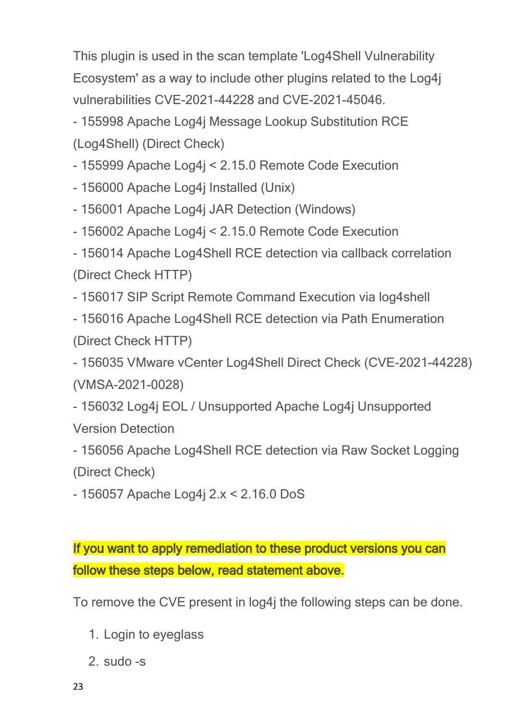This plugin is used in the scan template 'Log4Shell Vulnerability Ecosystem' as a way to include other plugins related to the Log4j vulnerabilities CVE-2021-44228 and CVE-2021-45046.

- 155998 Apache Log4j Message Lookup Substitution RCE (Log4Shell) (Direct Check)

- 155999 Apache Log4j < 2.15.0 Remote Code Execution

- 156000 Apache Log4j Installed (Unix)

- 156001 Apache Log4j JAR Detection (Windows)

- 156002 Apache Log4j < 2.15.0 Remote Code Execution

- 156014 Apache Log4Shell RCE detection via callback correlation (Direct Check HTTP)

- 156017 SIP Script Remote Command Execution via log4shell

- 156016 Apache Log4Shell RCE detection via Path Enumeration (Direct Check HTTP)

- 156035 VMware vCenter Log4Shell Direct Check (CVE-2021-44228) (VMSA-2021-0028)

- 156032 Log4j EOL / Unsupported Apache Log4j Unsupported Version Detection

- 156056 Apache Log4Shell RCE detection via Raw Socket Logging (Direct Check)

- 156057 Apache Log4j 2.x < 2.16.0 DoS

**If you want to apply remediation to these product versions you can follow these steps below, read statement above.**

To remove the CVE present in log4j the following steps can be done.

- 1. Login to eyeglass
- 2. sudo -s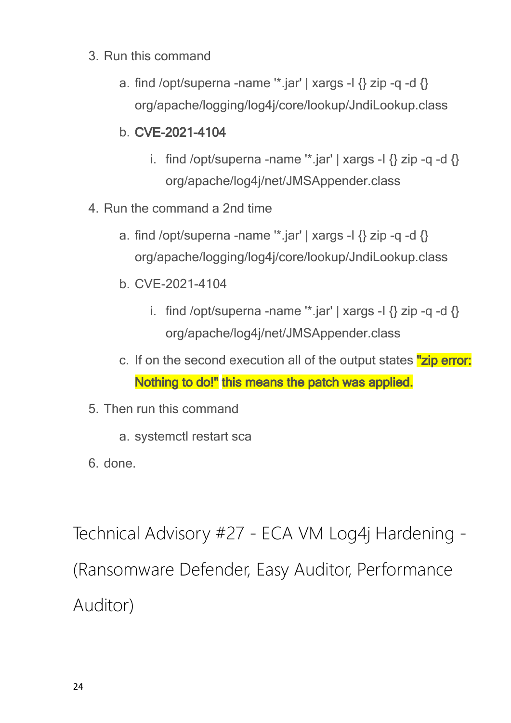- 3. Run this command
	- a. find /opt/superna -name  $'$ \*.jar' | xargs -l  $\{$ } zip -q -d  $\{$ } org/apache/logging/log4j/core/lookup/JndiLookup.class
	- b. **CVE-2021-4104**
		- i. find /opt/superna -name "\*.jar' | xargs -I  $\{$  zip -q -d  $\{$ } org/apache/log4j/net/JMSAppender.class
- 4. Run the command a 2nd time
	- a. find /opt/superna -name  $\dot{ }$  iar' | xargs -I  $\{$ } zip -q -d  $\{$ } org/apache/logging/log4j/core/lookup/JndiLookup.class
	- b. CVE-2021-4104
		- i. find /opt/superna -name "\*.jar' | xargs -I  $\{$  zip -q -d  $\{$ } org/apache/log4j/net/JMSAppender.class
	- c. If on the second execution all of the output states **"zip error: Nothing to do!" this means the patch was applied.**
- 5. Then run this command
	- a. systemctl restart sca
- 6. done.

<span id="page-23-0"></span>Technical Advisory #27 - ECA VM Log4j Hardening - (Ransomware Defender, Easy Auditor, Performance Auditor)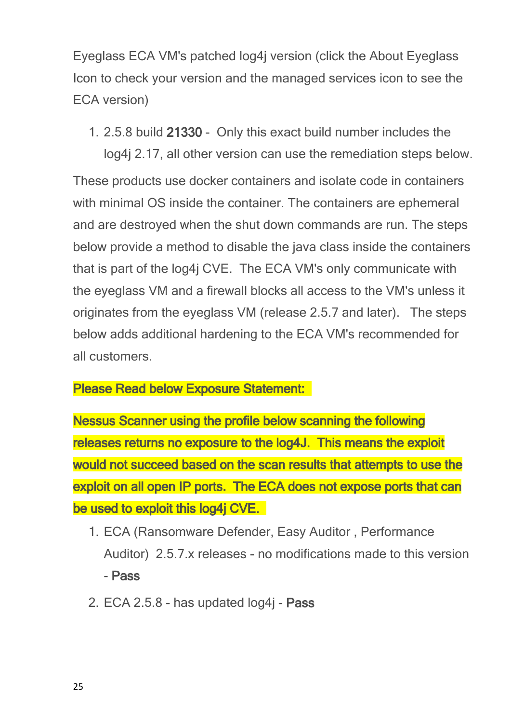Eyeglass ECA VM's patched log4j version (click the About Eyeglass Icon to check your version and the managed services icon to see the ECA version)

1. 2.5.8 build **21330** - Only this exact build number includes the

log4j 2.17, all other version can use the remediation steps below. These products use docker containers and isolate code in containers with minimal OS inside the container. The containers are ephemeral and are destroyed when the shut down commands are run. The steps below provide a method to disable the java class inside the containers that is part of the log4j CVE. The ECA VM's only communicate with the eyeglass VM and a firewall blocks all access to the VM's unless it originates from the eyeglass VM (release 2.5.7 and later). The steps below adds additional hardening to the ECA VM's recommended for all customers.

### **Please Read below Exposure Statement:**

**Nessus Scanner using the profile below scanning the following releases returns no exposure to the log4J. This means the exploit would not succeed based on the scan results that attempts to use the exploit on all open IP ports. The ECA does not expose ports that can be used to exploit this log4j CVE.** 

- 1. ECA (Ransomware Defender, Easy Auditor , Performance Auditor) 2.5.7.x releases - no modifications made to this version - **Pass**
- 2. ECA 2.5.8 has updated log4j **Pass**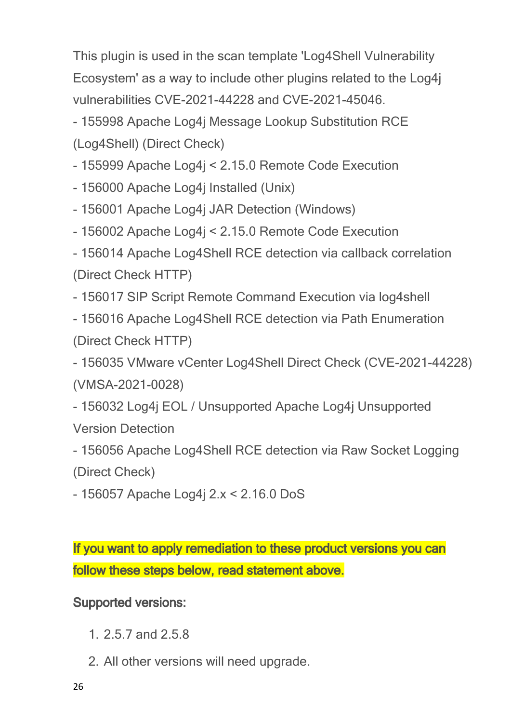This plugin is used in the scan template 'Log4Shell Vulnerability Ecosystem' as a way to include other plugins related to the Log4j vulnerabilities CVE-2021-44228 and CVE-2021-45046.

- 155998 Apache Log4j Message Lookup Substitution RCE (Log4Shell) (Direct Check)

- 155999 Apache Log4j < 2.15.0 Remote Code Execution

- 156000 Apache Log4j Installed (Unix)

- 156001 Apache Log4j JAR Detection (Windows)

- 156002 Apache Log4j < 2.15.0 Remote Code Execution

- 156014 Apache Log4Shell RCE detection via callback correlation (Direct Check HTTP)

- 156017 SIP Script Remote Command Execution via log4shell

- 156016 Apache Log4Shell RCE detection via Path Enumeration (Direct Check HTTP)

- 156035 VMware vCenter Log4Shell Direct Check (CVE-2021-44228) (VMSA-2021-0028)

- 156032 Log4j EOL / Unsupported Apache Log4j Unsupported Version Detection

- 156056 Apache Log4Shell RCE detection via Raw Socket Logging (Direct Check)

- 156057 Apache Log4j 2.x < 2.16.0 DoS

**If you want to apply remediation to these product versions you can follow these steps below, read statement above.**

**Supported versions:** 

- 1. 2.5.7 and 2.5.8
- 2. All other versions will need upgrade.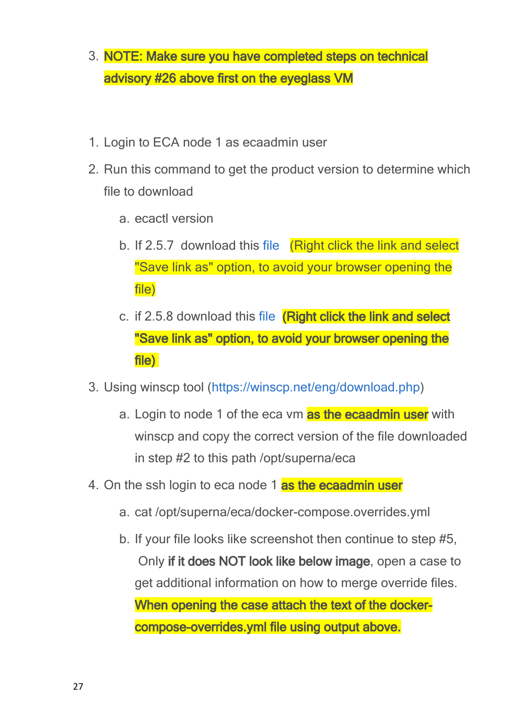- 3. **NOTE: Make sure you have completed steps on technical advisory #26 above first on the eyeglass VM**
- 1. Login to ECA node 1 as ecaadmin user
- 2. Run this command to get the product version to determine which file to download
	- a. ecactl version
	- b. If 2.5.7 download this [file](file:///C:/Windows/TEMP/ditnggz3.miu/Storage/technical-advisories-all-products-publication/docker-compose.CVE-2021-44228.2.5.7.yml) (Right click the link and select "Save link as" option, to avoid your browser opening the file)
	- c. if 2.5.8 download this [file](file:///C:/Windows/TEMP/ditnggz3.miu/Storage/technical-advisories-all-products-publication/docker-compose.CVE-2021-44228.2.5.8.yml) **(Right click the link and select "Save link as" option, to avoid your browser opening the file)**
- 3. Using winscp tool ([https://winscp.net/eng/download.php\)](https://winscp.net/eng/download.php)
	- a. Login to node 1 of the eca vm **as the ecaadmin user** with winscp and copy the correct version of the file downloaded in step #2 to this path /opt/superna/eca
- 4. On the ssh login to eca node 1 **as the ecaadmin user**
	- a. cat /opt/superna/eca/docker-compose.overrides.yml
	- b. If your file looks like screenshot then continue to step #5, Only **if it does NOT look like below image**, open a case to get additional information on how to merge override files. **When opening the case attach the text of the dockercompose-overrides.yml file using output above.**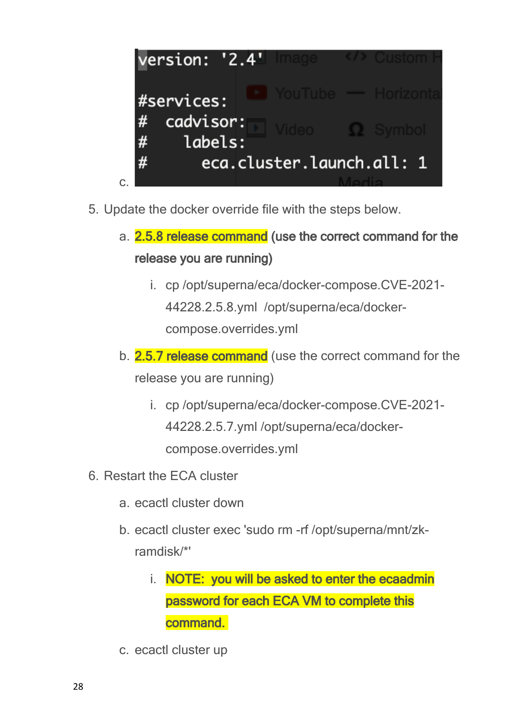

- 5. Update the docker override file with the steps below.
	- a. **2.5.8 release command (use the correct command for the release you are running)**
		- i. cp /opt/superna/eca/docker-compose.CVE-2021- 44228.2.5.8.yml /opt/superna/eca/dockercompose.overrides.yml
	- b. **2.5.7 release command** (use the correct command for the release you are running)
		- i. cp /opt/superna/eca/docker-compose.CVE-2021- 44228.2.5.7.yml /opt/superna/eca/dockercompose.overrides.yml
- 6. Restart the ECA cluster
	- a. ecactl cluster down
	- b. ecactl cluster exec 'sudo rm -rf /opt/superna/mnt/zkramdisk/\*'
		- i. **NOTE: you will be asked to enter the ecaadmin password for each ECA VM to complete this command.**
	- c. ecactl cluster up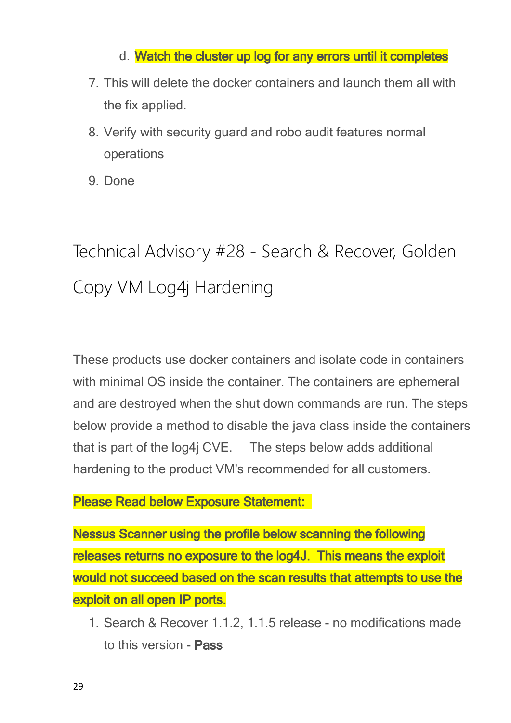### d. **Watch the cluster up log for any errors until it completes**

- 7. This will delete the docker containers and launch them all with the fix applied.
- 8. Verify with security guard and robo audit features normal operations
- 9. Done

## <span id="page-28-0"></span>Technical Advisory #28 - Search & Recover, Golden Copy VM Log4j Hardening

These products use docker containers and isolate code in containers with minimal OS inside the container. The containers are ephemeral and are destroyed when the shut down commands are run. The steps below provide a method to disable the java class inside the containers that is part of the log4j CVE. The steps below adds additional hardening to the product VM's recommended for all customers.

### **Please Read below Exposure Statement:**

**Nessus Scanner using the profile below scanning the following releases returns no exposure to the log4J. This means the exploit would not succeed based on the scan results that attempts to use the exploit on all open IP ports.**

1. Search & Recover 1.1.2, 1.1.5 release - no modifications made to this version - **Pass**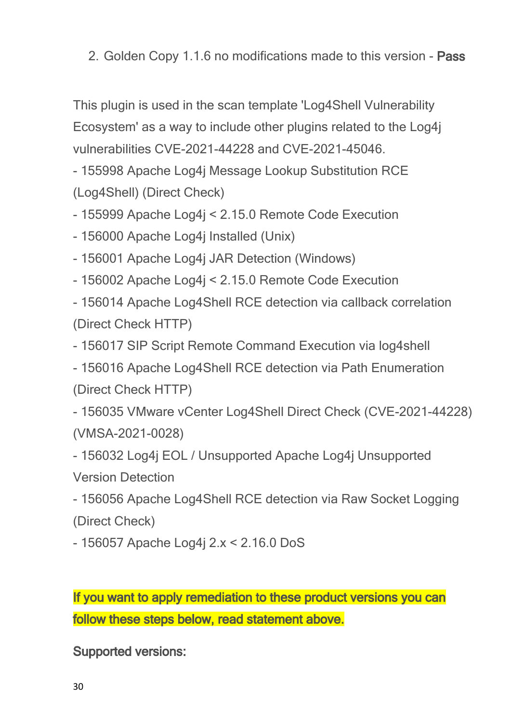2. Golden Copy 1.1.6 no modifications made to this version - **Pass**

This plugin is used in the scan template 'Log4Shell Vulnerability Ecosystem' as a way to include other plugins related to the Log4j vulnerabilities CVE-2021-44228 and CVE-2021-45046.

- 155998 Apache Log4j Message Lookup Substitution RCE (Log4Shell) (Direct Check)

- 155999 Apache Log4j < 2.15.0 Remote Code Execution

- 156000 Apache Log4j Installed (Unix)

- 156001 Apache Log4j JAR Detection (Windows)

- 156002 Apache Log4j < 2.15.0 Remote Code Execution

- 156014 Apache Log4Shell RCE detection via callback correlation (Direct Check HTTP)

- 156017 SIP Script Remote Command Execution via log4shell

- 156016 Apache Log4Shell RCE detection via Path Enumeration (Direct Check HTTP)

- 156035 VMware vCenter Log4Shell Direct Check (CVE-2021-44228) (VMSA-2021-0028)

- 156032 Log4j EOL / Unsupported Apache Log4j Unsupported Version Detection

- 156056 Apache Log4Shell RCE detection via Raw Socket Logging (Direct Check)

- 156057 Apache Log4j 2.x < 2.16.0 DoS

**If you want to apply remediation to these product versions you can follow these steps below, read statement above.**

**Supported versions:**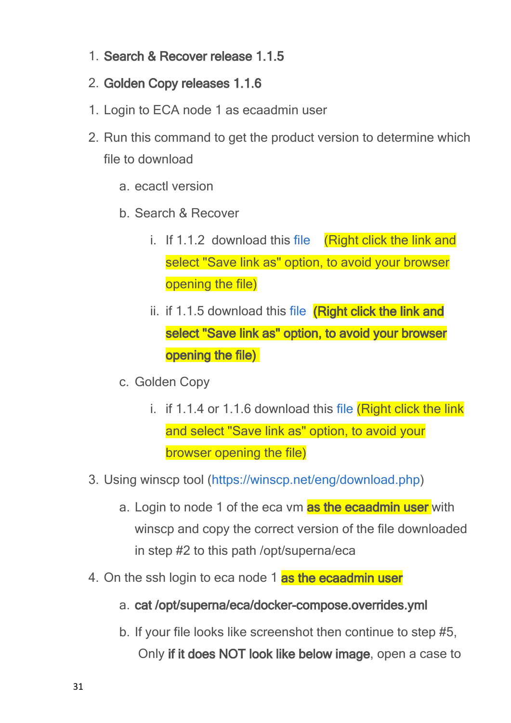- 1. **Search & Recover release 1.1.5**
- 2. **Golden Copy releases 1.1.6**
- 1. Login to ECA node 1 as ecaadmin user
- 2. Run this command to get the product version to determine which file to download
	- a. ecactl version
	- b. Search & Recover
		- i. If 1.1.2 download this [file](file:///C:/Windows/TEMP/ditnggz3.miu/Storage/technical-advisories-all-products-publication/docker-compose.CVE-2021-44228.1.1.2.yml) (Right click the link and select "Save link as" option, to avoid your browser opening the file)
		- ii. if 1.1.5 download this [file](file:///C:/Windows/TEMP/ditnggz3.miu/Storage/technical-advisories-all-products-publication/docker-compose.CVE-2021-44228.1.1.5.yml) **(Right click the link and select "Save link as" option, to avoid your browser opening the file)**
	- c. Golden Copy
		- i. if 1.1.4 or 1.1.6 download this [file](file:///C:/Windows/TEMP/ditnggz3.miu/Storage/technical-advisories-all-products-publication/docker-compose.CVE-2021-44228.gc.yml)  $(Riaht click the link$ and select "Save link as" option, to avoid your browser opening the file)
- 3. Using winscp tool ([https://winscp.net/eng/download.php\)](https://winscp.net/eng/download.php)
	- a. Login to node 1 of the eca vm **as the ecaadmin user** with winscp and copy the correct version of the file downloaded in step #2 to this path /opt/superna/eca
- 4. On the ssh login to eca node 1 **as the ecaadmin user**
	- a. **cat /opt/superna/eca/docker-compose.overrides.yml**
	- b. If your file looks like screenshot then continue to step #5, Only **if it does NOT look like below image**, open a case to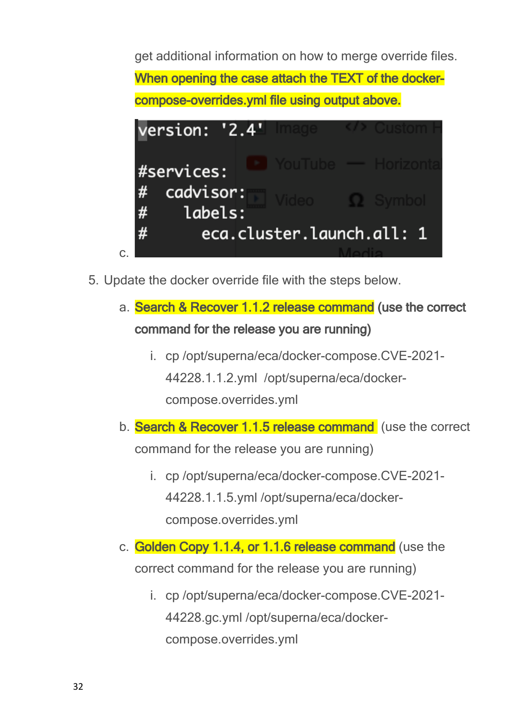get additional information on how to merge override files. **When opening the case attach the TEXT of the dockercompose-overrides.yml file using output above.**



- 5. Update the docker override file with the steps below.
	- a. **Search & Recover 1.1.2 release command (use the correct command for the release you are running)**
		- i. cp /opt/superna/eca/docker-compose.CVE-2021- 44228.1.1.2.yml /opt/superna/eca/dockercompose.overrides.yml
	- b. **Search & Recover 1.1.5 release command**  (use the correct command for the release you are running)
		- i. cp /opt/superna/eca/docker-compose.CVE-2021- 44228.1.1.5.yml /opt/superna/eca/dockercompose.overrides.yml
	- c. **Golden Copy 1.1.4, or 1.1.6 release command** (use the correct command for the release you are running)
		- i. cp /opt/superna/eca/docker-compose.CVE-2021- 44228.gc.yml /opt/superna/eca/dockercompose.overrides.yml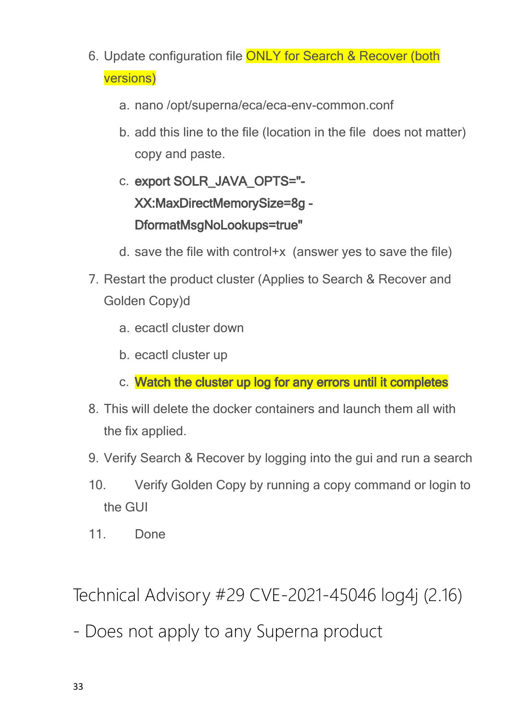- 6. Update configuration file ONLY for Search & Recover (both versions)
	- a. nano /opt/superna/eca/eca-env-common.conf
	- b. add this line to the file (location in the file does not matter) copy and paste.
	- c. **export SOLR\_JAVA\_OPTS="- XX:MaxDirectMemorySize=8g - DformatMsgNoLookups=true"**
	- d. save the file with control+x (answer yes to save the file)
- 7. Restart the product cluster (Applies to Search & Recover and Golden Copy)d
	- a. ecactl cluster down
	- b. ecactl cluster up
	- c. **Watch the cluster up log for any errors until it completes**
- 8. This will delete the docker containers and launch them all with the fix applied.
- 9. Verify Search & Recover by logging into the gui and run a search
- 10. Verify Golden Copy by running a copy command or login to the GUI
- 11 Done

<span id="page-32-0"></span>Technical Advisory #29 CVE-2021-45046 log4j (2.16)

- Does not apply to any Superna product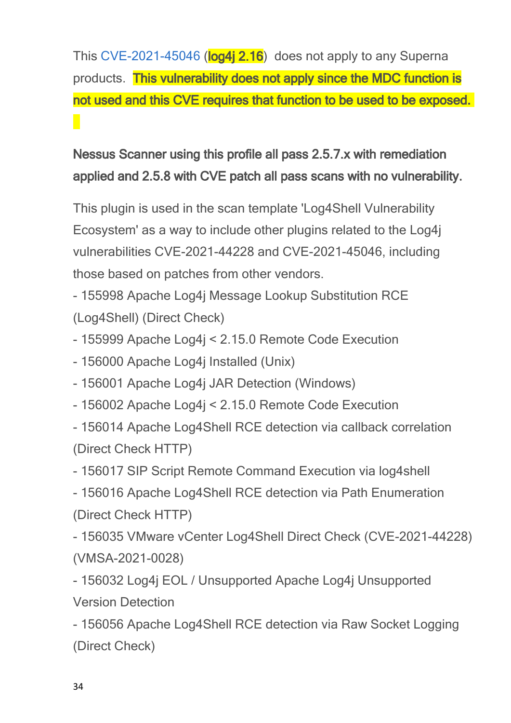This [CVE-2021-45046](https://nvd.nist.gov/vuln/detail/CVE-2021-45046) (**log4j 2.16**) does not apply to any Superna products. **This vulnerability does not apply since the MDC function is not used and this CVE requires that function to be used to be exposed.** 

**Nessus Scanner using this profile all pass 2.5.7.x with remediation applied and 2.5.8 with CVE patch all pass scans with no vulnerability.**

This plugin is used in the scan template 'Log4Shell Vulnerability Ecosystem' as a way to include other plugins related to the Log4j vulnerabilities CVE-2021-44228 and CVE-2021-45046, including those based on patches from other vendors.

- 155998 Apache Log4j Message Lookup Substitution RCE (Log4Shell) (Direct Check)

- 155999 Apache Log4j < 2.15.0 Remote Code Execution

- 156000 Apache Log4j Installed (Unix)

- 156001 Apache Log4j JAR Detection (Windows)

- 156002 Apache Log4j < 2.15.0 Remote Code Execution

- 156014 Apache Log4Shell RCE detection via callback correlation (Direct Check HTTP)

- 156017 SIP Script Remote Command Execution via log4shell

- 156016 Apache Log4Shell RCE detection via Path Enumeration (Direct Check HTTP)

- 156035 VMware vCenter Log4Shell Direct Check (CVE-2021-44228) (VMSA-2021-0028)

- 156032 Log4j EOL / Unsupported Apache Log4j Unsupported Version Detection

- 156056 Apache Log4Shell RCE detection via Raw Socket Logging (Direct Check)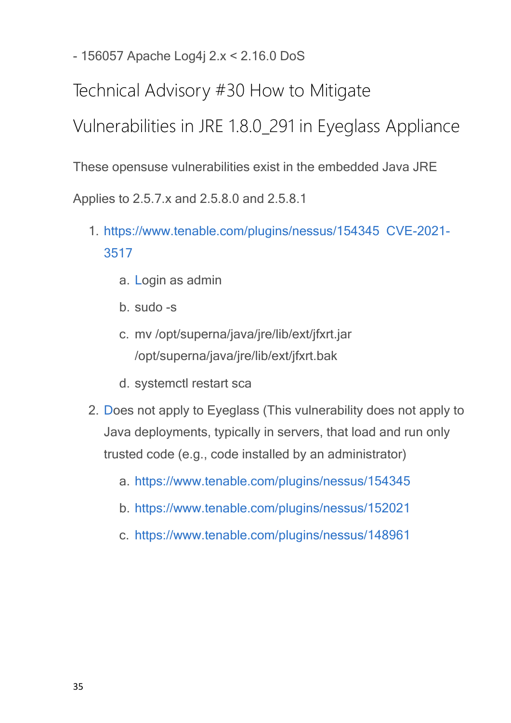- 156057 Apache Log4j 2.x < 2.16.0 DoS

<span id="page-34-0"></span>Technical Advisory #30 How to Mitigate

Vulnerabilities in JRE 1.8.0\_291 in Eyeglass Appliance

These opensuse vulnerabilities exist in the embedded Java JRE

Applies to 2.5.7.x and 2.5.8.0 and 2.5.8.1

- 1. <https://www.tenable.com/plugins/nessus/154345> [CVE-2021-](https://nvd.nist.gov/vuln/detail/CVE-2021-3517) [3517](https://nvd.nist.gov/vuln/detail/CVE-2021-3517)
	- a. [L](https://www.tenable.com/plugins/nessus/154345)ogin as admin
	- b. sudo -s
	- c. mv /opt/superna/java/jre/lib/ext/jfxrt.jar /opt/superna/java/jre/lib/ext/jfxrt.bak
	- d. systemctl restart sca
- 2. [Do](https://www.tenable.com/plugins/nessus/154345)es not apply to Eyeglass (This vulnerability does not apply to Java deployments, typically in servers, that load and run only trusted code (e.g., code installed by an administrator)
	- a. <https://www.tenable.com/plugins/nessus/154345>
	- b. <https://www.tenable.com/plugins/nessus/152021>
	- c. <https://www.tenable.com/plugins/nessus/148961>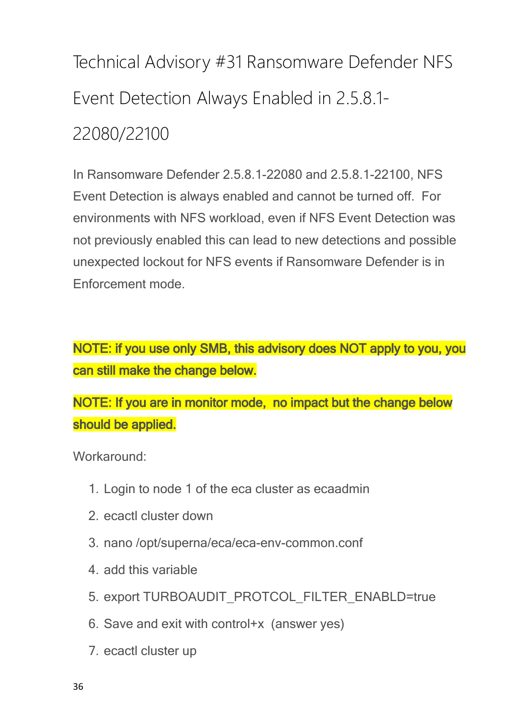<span id="page-35-0"></span>Technical Advisory #31 Ransomware Defender NFS Event Detection Always Enabled in 2.5.8.1- 22080/22100

In Ransomware Defender 2.5.8.1-22080 and 2.5.8.1-22100, NFS Event Detection is always enabled and cannot be turned off. For environments with NFS workload, even if NFS Event Detection was not previously enabled this can lead to new detections and possible unexpected lockout for NFS events if Ransomware Defender is in Enforcement mode.

**NOTE: if you use only SMB, this advisory does NOT apply to you, you can still make the change below.**

**NOTE: If you are in monitor mode, no impact but the change below should be applied.**

Workaround<sup>:</sup>

- 1. Login to node 1 of the eca cluster as ecaadmin
- 2. ecactl cluster down
- 3. nano /opt/superna/eca/eca-env-common.conf
- 4. add this variable
- 5. export TURBOAUDIT\_PROTCOL\_FILTER\_ENABLD=true
- 6. Save and exit with control+x (answer yes)
- 7. ecactl cluster up